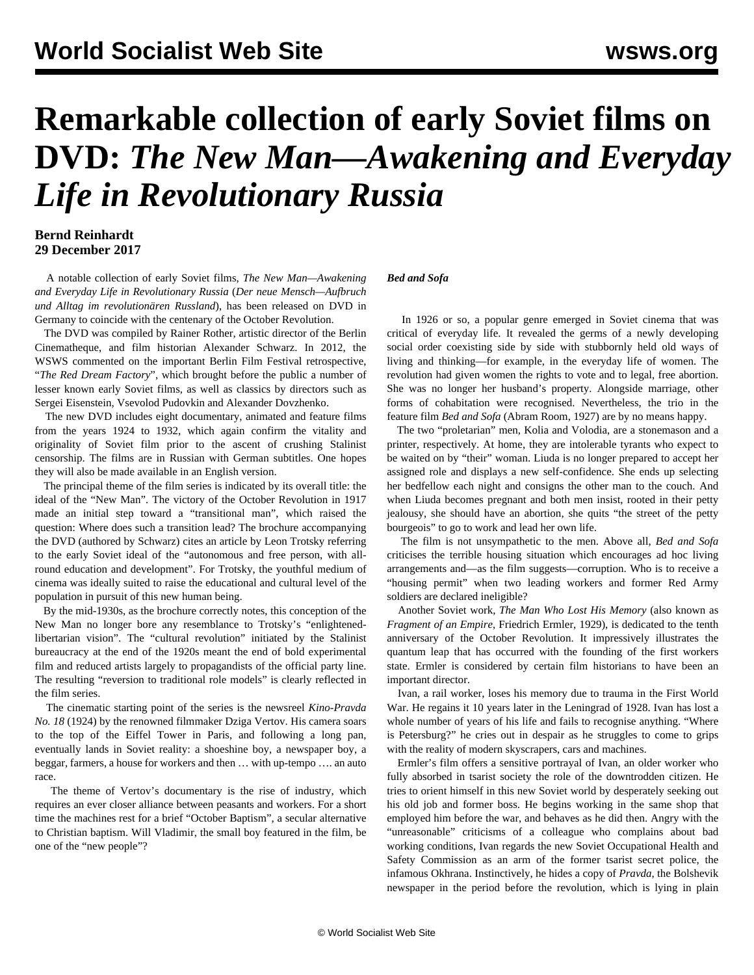## **Remarkable collection of early Soviet films on DVD:** *The New Man—Awakening and Everyday Life in Revolutionary Russia*

## **Bernd Reinhardt 29 December 2017**

 A notable collection of early Soviet films, *The New Man—Awakening and Everyday Life in Revolutionary Russia* (*Der neue Mensch—Aufbruch und Alltag im revolutionären Russland*), has been released on DVD in Germany to coincide with the centenary of the October Revolution.

 The DVD was compiled by Rainer Rother, artistic director of the Berlin Cinematheque, and film historian Alexander Schwarz. In 2012, the WSWS [commented](/en/articles/2012/03/ber3-m06.html) on the important Berlin Film Festival retrospective, "*The Red Dream Factory*", which brought before the public a number of lesser known early Soviet films, as well as classics by directors such as Sergei Eisenstein, Vsevolod Pudovkin and Alexander Dovzhenko.

 The new DVD includes eight documentary, animated and feature films from the years 1924 to 1932, which again confirm the vitality and originality of Soviet film prior to the ascent of crushing Stalinist censorship. The films are in Russian with German subtitles. One hopes they will also be made available in an English version.

 The principal theme of the film series is indicated by its overall title: the ideal of the "New Man". The victory of the October Revolution in 1917 made an initial step toward a "transitional man", which raised the question: Where does such a transition lead? The brochure accompanying the DVD (authored by Schwarz) cites an article by Leon Trotsky referring to the early Soviet ideal of the "autonomous and free person, with allround education and development". For Trotsky, the youthful medium of cinema was ideally suited to raise the educational and cultural level of the population in pursuit of this new human being.

 By the mid-1930s, as the brochure correctly notes, this conception of the New Man no longer bore any resemblance to Trotsky's "enlightenedlibertarian vision". The "cultural revolution" initiated by the Stalinist bureaucracy at the end of the 1920s meant the end of bold experimental film and reduced artists largely to propagandists of the official party line. The resulting "reversion to traditional role models" is clearly reflected in the film series.

 The cinematic starting point of the series is the newsreel *Kino-Pravda No. 18* (1924) by the renowned filmmaker Dziga Vertov. His camera soars to the top of the Eiffel Tower in Paris, and following a long pan, eventually lands in Soviet reality: a shoeshine boy, a newspaper boy, a beggar, farmers, a house for workers and then … with up-tempo …. an auto race.

 The theme of Vertov's documentary is the rise of industry, which requires an ever closer alliance between peasants and workers. For a short time the machines rest for a brief "October Baptism", a secular alternative to Christian baptism. Will Vladimir, the small boy featured in the film, be one of the "new people"?

## *Bed and Sofa*

 In 1926 or so, a popular genre emerged in Soviet cinema that was critical of everyday life. It revealed the germs of a newly developing social order coexisting side by side with stubbornly held old ways of living and thinking—for example, in the everyday life of women. The revolution had given women the rights to vote and to legal, free abortion. She was no longer her husband's property. Alongside marriage, other forms of cohabitation were recognised. Nevertheless, the trio in the feature film *Bed and Sofa* (Abram Room, 1927) are by no means happy.

 The two "proletarian" men, Kolia and Volodia, are a stonemason and a printer, respectively. At home, they are intolerable tyrants who expect to be waited on by "their" woman. Liuda is no longer prepared to accept her assigned role and displays a new self-confidence. She ends up selecting her bedfellow each night and consigns the other man to the couch. And when Liuda becomes pregnant and both men insist, rooted in their petty jealousy, she should have an abortion, she quits "the street of the petty bourgeois" to go to work and lead her own life.

 The film is not unsympathetic to the men. Above all, *Bed and Sofa* criticises the terrible housing situation which encourages ad hoc living arrangements and—as the film suggests—corruption. Who is to receive a "housing permit" when two leading workers and former Red Army soldiers are declared ineligible?

 Another Soviet work, *The Man Who Lost His Memory* (also known as *Fragment of an Empire*, Friedrich Ermler, 1929), is dedicated to the tenth anniversary of the October Revolution. It impressively illustrates the quantum leap that has occurred with the founding of the first workers state. Ermler is considered by certain film historians to have been an important director.

 Ivan, a rail worker, loses his memory due to trauma in the First World War. He regains it 10 years later in the Leningrad of 1928. Ivan has lost a whole number of years of his life and fails to recognise anything. "Where is Petersburg?" he cries out in despair as he struggles to come to grips with the reality of modern skyscrapers, cars and machines.

 Ermler's film offers a sensitive portrayal of Ivan, an older worker who fully absorbed in tsarist society the role of the downtrodden citizen. He tries to orient himself in this new Soviet world by desperately seeking out his old job and former boss. He begins working in the same shop that employed him before the war, and behaves as he did then. Angry with the "unreasonable" criticisms of a colleague who complains about bad working conditions, Ivan regards the new Soviet Occupational Health and Safety Commission as an arm of the former tsarist secret police, the infamous Okhrana. Instinctively, he hides a copy of *Pravda*, the Bolshevik newspaper in the period before the revolution, which is lying in plain